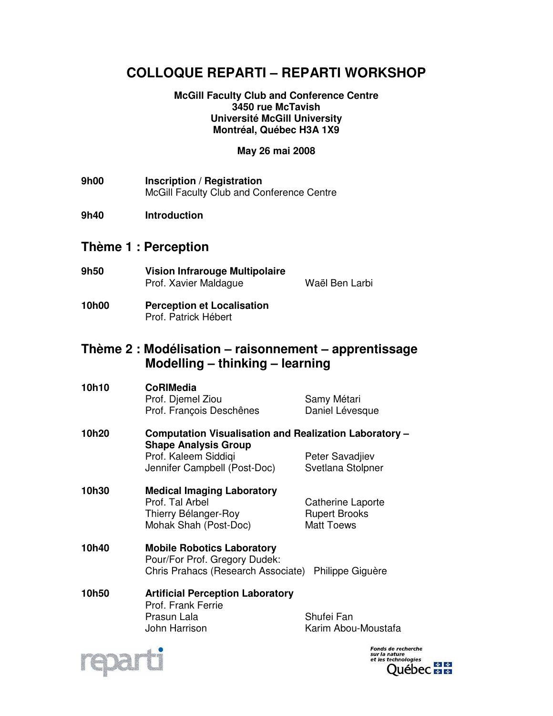# **COLLOQUE REPARTI – REPARTI WORKSHOP**

#### **McGill Faculty Club and Conference Centre 3450 rue McTavish Université McGill University Montréal, Québec H3A 1X9**

### **May 26 mai 2008**

- **9h00 Inscription / Registration**  McGill Faculty Club and Conference Centre
- **9h40 Introduction**

### **Thème 1 : Perception**

- **9h50 Vision Infrarouge Multipolaire**  Prof. Xavier Maldague Waël Ben Larbi
- **10h00 Perception et Localisation**  Prof. Patrick Hébert

## **Thème 2 : Modélisation – raisonnement – apprentissage Modelling – thinking – learning**

| 10h10 | <b>CoRIMedia</b><br>Prof. Djemel Ziou<br>Prof. François Deschênes                                                                             | Samy Métari<br>Daniel Lévesque                                 |
|-------|-----------------------------------------------------------------------------------------------------------------------------------------------|----------------------------------------------------------------|
| 10h20 | Computation Visualisation and Realization Laboratory -<br><b>Shape Analysis Group</b><br>Prof. Kaleem Siddiqi<br>Jennifer Campbell (Post-Doc) | Peter Savadjiev<br>Svetlana Stolpner                           |
| 10h30 | <b>Medical Imaging Laboratory</b><br>Prof. Tal Arbel<br>Thierry Bélanger-Roy<br>Mohak Shah (Post-Doc)                                         | Catherine Laporte<br><b>Rupert Brooks</b><br><b>Matt Toews</b> |
| 10h40 | <b>Mobile Robotics Laboratory</b><br>Pour/For Prof. Gregory Dudek:<br>Chris Prahacs (Research Associate)<br>Philippe Giguère                  |                                                                |
| 10h50 | <b>Artificial Perception Laboratory</b><br>Prof. Frank Ferrie<br>Prasun Lala                                                                  | Shufei Fan                                                     |

John Harrison Karim Abou-Moustafa



*Fonds de recherche<br>sur la nature<br>et les technologies* 中中 Québec **E E**